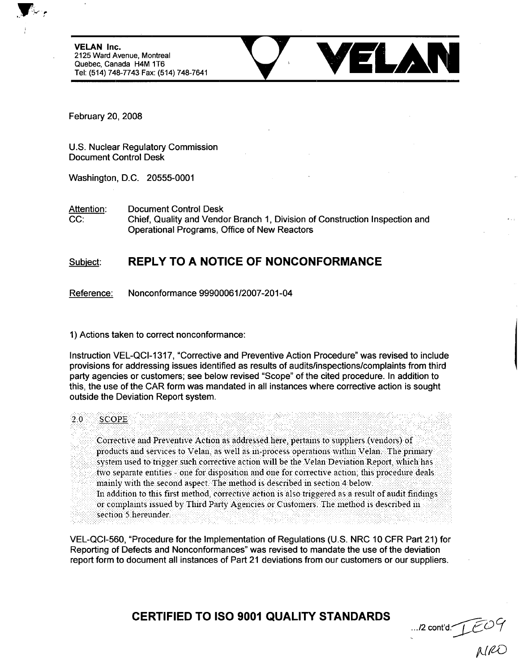**VELAN** Inc. 2125 Ward Avenue, Montreal Quebec, Canada H4M 1T6<br>Tel: (514) 748-7743 Fax: (514) 748-7641



February 20, 2008

U.S. Nuclear Regulatory Commission Document Control Desk

Washington, D.C. 20555-0001

Attention: Document Control Desk CC: Chief, Quality and Vendor Branch 1, Division of Construction Inspection and Operational Programs, Office of New Reactors

## Subiect: REPLY TO **A NOTICE** OF **NONCONFORMANCE**

Reference: Nonconformance 99900061/2007-201-04

1) Actions taken to correct nonconformance:

Instruction VEL-QCI-1317, "Corrective and Preventive Action Procedure" was revised to include provisions for addressing issues identified as results of audits/inspections/complaints from third party agencies or customers; see below revised "Scope" of the cited procedure. In addition to this, the use of the CAR form was mandated in all instances where corrective action is sought outside the Deviation Report system.

## 2 .0 :: !:S C O P E . .. . ." - " .. .. .. .. • .. . . . . . . .. . . . . . : : . : **...** . . . . . . . . . . . . . . . . . . . . . . . . . . . . . . . . . . . . . . . . .

Corrective and Preventive Action as addressed here, pertains to suppliers (vendors) of products and services to Velan, as well as in-process operations within Velan. The primary system used to trigger such corrective action will be the Velan Deviation Report, which has two separate entities - one for disposition and one for corrective action; this procedure deals .mainly with the second aspect. The method **is** described in section 4 below. In addition to this first method, corrective action is also triggered as a result of audit findings or complaints issued by Third Party Agencies or Customers. The method is described in section 5 hereunder.

VEL-QCI-560, "Procedure for the Implementation of Regulations (U.S. NRC 10 CFR Part 21) for Reporting of Defects and Nonconformances" was revised to mandate the use of the deviation report form to document all instances of Part 21 deviations from our customers or our suppliers.

CERTIFIED TO **ISO 9001 QUALITY STANDARDS**

... /2 cont'd. <u>1</u> CU 7<br>MRO